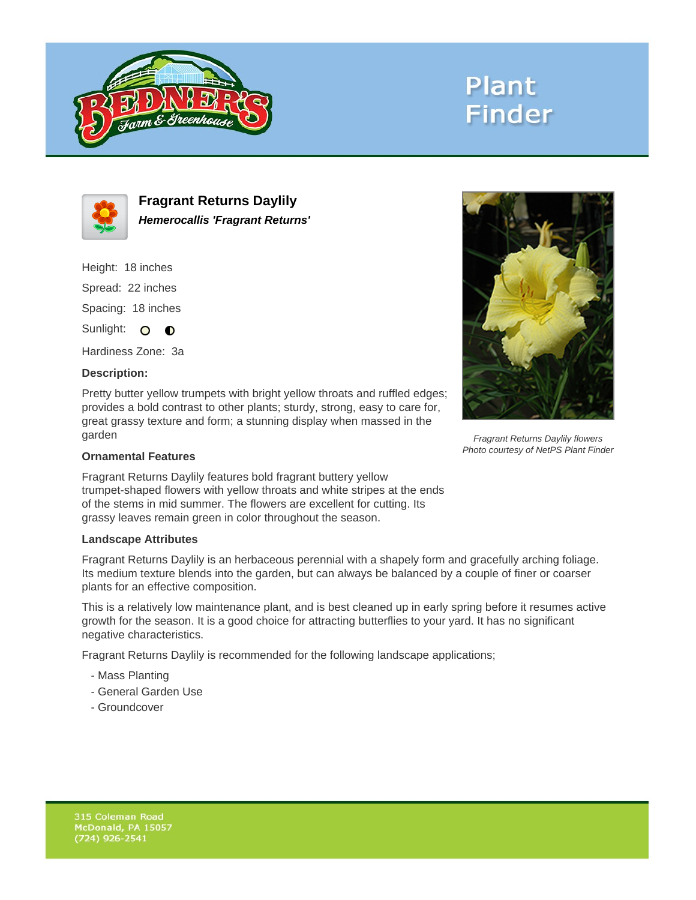

# **Plant Finder**



**Fragrant Returns Daylily Hemerocallis 'Fragrant Returns'**

Height: 18 inches Spread: 22 inches

Spacing: 18 inches

Sunlight: O **O** 

Hardiness Zone: 3a

### **Description:**

Pretty butter yellow trumpets with bright yellow throats and ruffled edges; provides a bold contrast to other plants; sturdy, strong, easy to care for, great grassy texture and form; a stunning display when massed in the garden

#### **Ornamental Features**

Fragrant Returns Daylily features bold fragrant buttery yellow trumpet-shaped flowers with yellow throats and white stripes at the ends of the stems in mid summer. The flowers are excellent for cutting. Its grassy leaves remain green in color throughout the season.

#### **Landscape Attributes**

Fragrant Returns Daylily is an herbaceous perennial with a shapely form and gracefully arching foliage. Its medium texture blends into the garden, but can always be balanced by a couple of finer or coarser plants for an effective composition.

This is a relatively low maintenance plant, and is best cleaned up in early spring before it resumes active growth for the season. It is a good choice for attracting butterflies to your yard. It has no significant negative characteristics.

Fragrant Returns Daylily is recommended for the following landscape applications;

- Mass Planting
- General Garden Use
- Groundcover



Fragrant Returns Daylily flowers Photo courtesy of NetPS Plant Finder